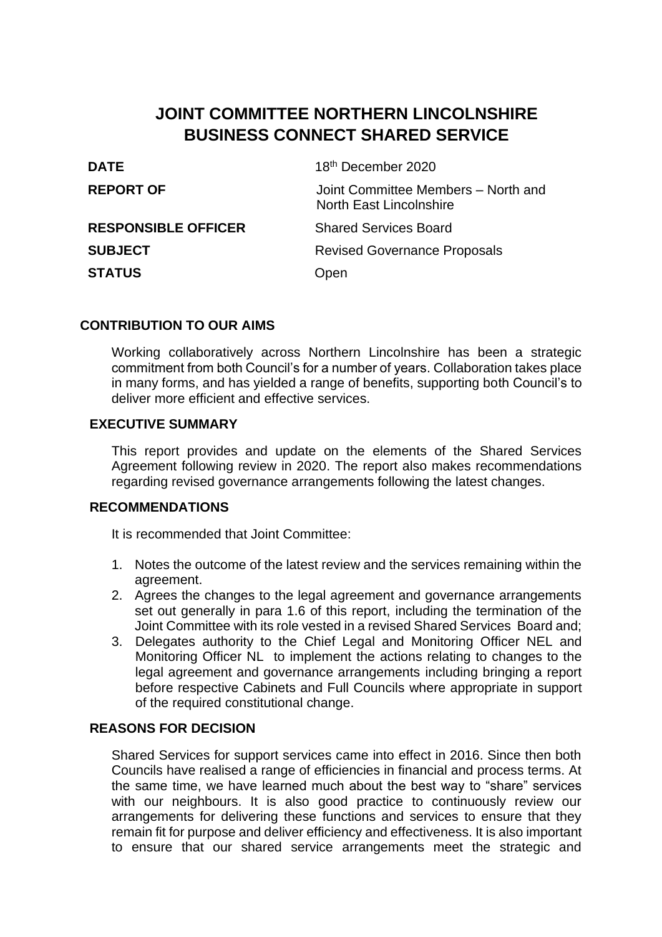# **JOINT COMMITTEE NORTHERN LINCOLNSHIRE BUSINESS CONNECT SHARED SERVICE**

| 18th December 2020                                                    |
|-----------------------------------------------------------------------|
| Joint Committee Members - North and<br><b>North East Lincolnshire</b> |
| <b>Shared Services Board</b>                                          |
| <b>Revised Governance Proposals</b>                                   |
| Open                                                                  |
|                                                                       |

### **CONTRIBUTION TO OUR AIMS**

Working collaboratively across Northern Lincolnshire has been a strategic commitment from both Council's for a number of years. Collaboration takes place in many forms, and has yielded a range of benefits, supporting both Council's to deliver more efficient and effective services.

#### **EXECUTIVE SUMMARY**

This report provides and update on the elements of the Shared Services Agreement following review in 2020. The report also makes recommendations regarding revised governance arrangements following the latest changes.

#### **RECOMMENDATIONS**

It is recommended that Joint Committee:

- 1. Notes the outcome of the latest review and the services remaining within the agreement.
- 2. Agrees the changes to the legal agreement and governance arrangements set out generally in para 1.6 of this report, including the termination of the Joint Committee with its role vested in a revised Shared Services Board and;
- 3. Delegates authority to the Chief Legal and Monitoring Officer NEL and Monitoring Officer NL to implement the actions relating to changes to the legal agreement and governance arrangements including bringing a report before respective Cabinets and Full Councils where appropriate in support of the required constitutional change.

# **REASONS FOR DECISION**

Shared Services for support services came into effect in 2016. Since then both Councils have realised a range of efficiencies in financial and process terms. At the same time, we have learned much about the best way to "share" services with our neighbours. It is also good practice to continuously review our arrangements for delivering these functions and services to ensure that they remain fit for purpose and deliver efficiency and effectiveness. It is also important to ensure that our shared service arrangements meet the strategic and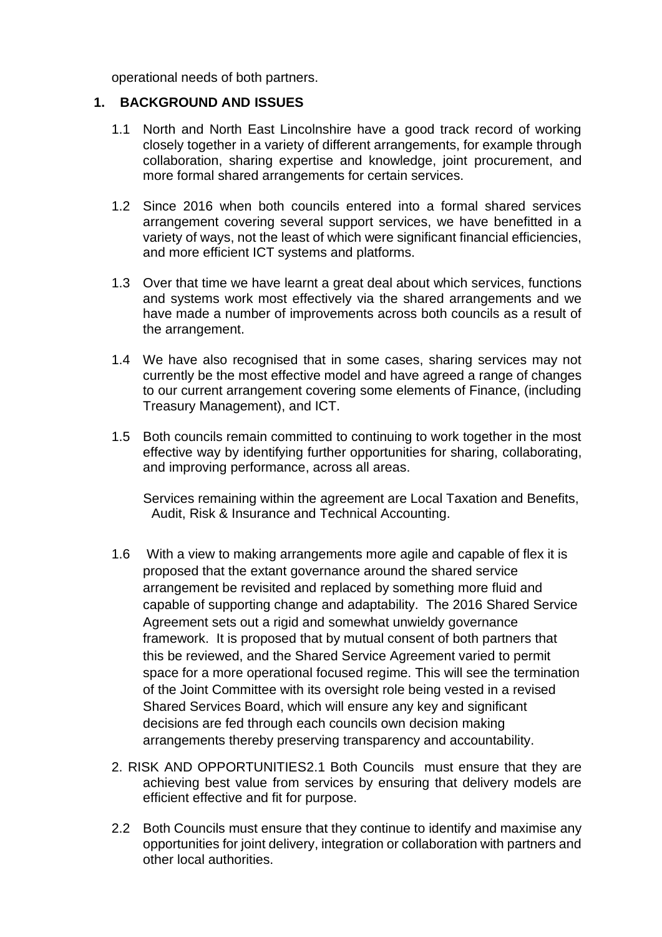operational needs of both partners.

#### **1. BACKGROUND AND ISSUES**

- 1.1 North and North East Lincolnshire have a good track record of working closely together in a variety of different arrangements, for example through collaboration, sharing expertise and knowledge, joint procurement, and more formal shared arrangements for certain services.
- 1.2 Since 2016 when both councils entered into a formal shared services arrangement covering several support services, we have benefitted in a variety of ways, not the least of which were significant financial efficiencies, and more efficient ICT systems and platforms.
- 1.3 Over that time we have learnt a great deal about which services, functions and systems work most effectively via the shared arrangements and we have made a number of improvements across both councils as a result of the arrangement.
- 1.4 We have also recognised that in some cases, sharing services may not currently be the most effective model and have agreed a range of changes to our current arrangement covering some elements of Finance, (including Treasury Management), and ICT.
- 1.5 Both councils remain committed to continuing to work together in the most effective way by identifying further opportunities for sharing, collaborating, and improving performance, across all areas.

Services remaining within the agreement are Local Taxation and Benefits, Audit, Risk & Insurance and Technical Accounting.

- 1.6 With a view to making arrangements more agile and capable of flex it is proposed that the extant governance around the shared service arrangement be revisited and replaced by something more fluid and capable of supporting change and adaptability. The 2016 Shared Service Agreement sets out a rigid and somewhat unwieldy governance framework. It is proposed that by mutual consent of both partners that this be reviewed, and the Shared Service Agreement varied to permit space for a more operational focused regime. This will see the termination of the Joint Committee with its oversight role being vested in a revised Shared Services Board, which will ensure any key and significant decisions are fed through each councils own decision making arrangements thereby preserving transparency and accountability.
- 2. RISK AND OPPORTUNITIES2.1 Both Councils must ensure that they are achieving best value from services by ensuring that delivery models are efficient effective and fit for purpose.
- 2.2 Both Councils must ensure that they continue to identify and maximise any opportunities for joint delivery, integration or collaboration with partners and other local authorities.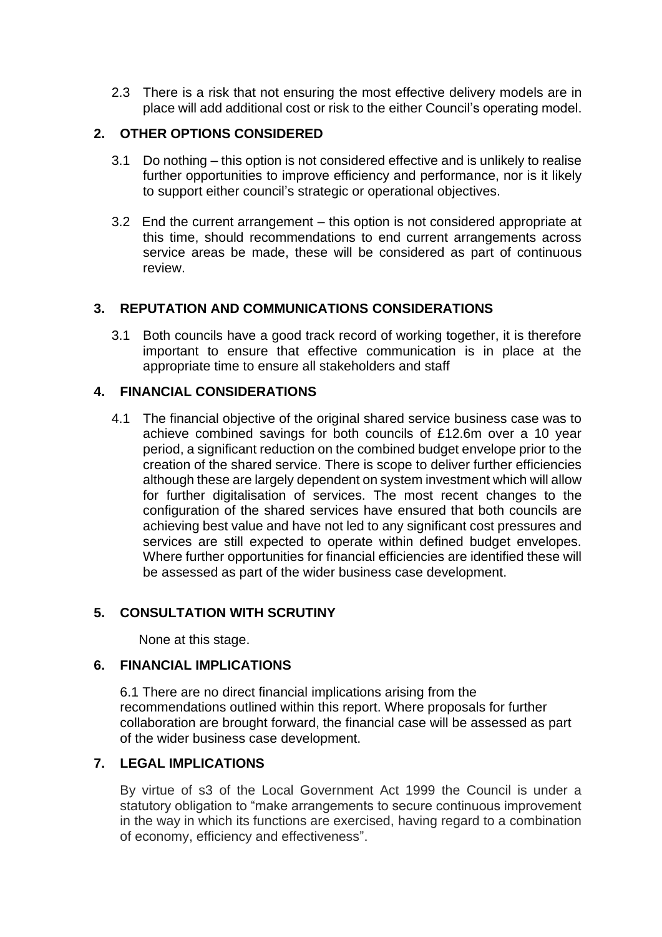2.3 There is a risk that not ensuring the most effective delivery models are in place will add additional cost or risk to the either Council's operating model.

# **2. OTHER OPTIONS CONSIDERED**

- 3.1 Do nothing this option is not considered effective and is unlikely to realise further opportunities to improve efficiency and performance, nor is it likely to support either council's strategic or operational objectives.
- 3.2 End the current arrangement this option is not considered appropriate at this time, should recommendations to end current arrangements across service areas be made, these will be considered as part of continuous review.

# **3. REPUTATION AND COMMUNICATIONS CONSIDERATIONS**

3.1 Both councils have a good track record of working together, it is therefore important to ensure that effective communication is in place at the appropriate time to ensure all stakeholders and staff

# **4. FINANCIAL CONSIDERATIONS**

4.1 The financial objective of the original shared service business case was to achieve combined savings for both councils of £12.6m over a 10 year period, a significant reduction on the combined budget envelope prior to the creation of the shared service. There is scope to deliver further efficiencies although these are largely dependent on system investment which will allow for further digitalisation of services. The most recent changes to the configuration of the shared services have ensured that both councils are achieving best value and have not led to any significant cost pressures and services are still expected to operate within defined budget envelopes. Where further opportunities for financial efficiencies are identified these will be assessed as part of the wider business case development.

### **5. CONSULTATION WITH SCRUTINY**

None at this stage.

### **6. FINANCIAL IMPLICATIONS**

6.1 There are no direct financial implications arising from the recommendations outlined within this report. Where proposals for further collaboration are brought forward, the financial case will be assessed as part of the wider business case development.

# **7. LEGAL IMPLICATIONS**

By virtue of s3 of the Local Government Act 1999 the Council is under a statutory obligation to "make arrangements to secure continuous improvement in the way in which its functions are exercised, having regard to a combination of economy, efficiency and effectiveness".